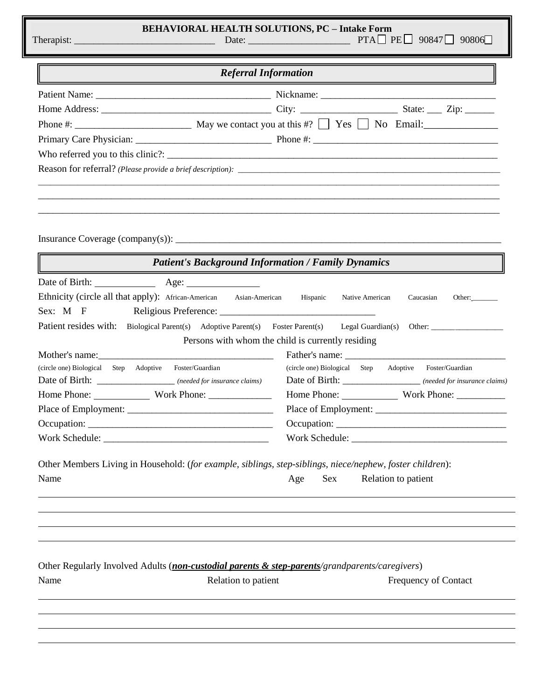|                                       | <b>BEHAVIORAL HEALTH SOLUTIONS, PC - Intake Form</b>                        | Date: $\rule{1em}{0.15mm}$ PTA PE 90847 90806                                                                                                  |  |  |  |
|---------------------------------------|-----------------------------------------------------------------------------|------------------------------------------------------------------------------------------------------------------------------------------------|--|--|--|
| <b>Referral Information</b>           |                                                                             |                                                                                                                                                |  |  |  |
|                                       |                                                                             |                                                                                                                                                |  |  |  |
|                                       |                                                                             |                                                                                                                                                |  |  |  |
|                                       |                                                                             |                                                                                                                                                |  |  |  |
|                                       |                                                                             |                                                                                                                                                |  |  |  |
|                                       |                                                                             |                                                                                                                                                |  |  |  |
|                                       |                                                                             |                                                                                                                                                |  |  |  |
|                                       |                                                                             |                                                                                                                                                |  |  |  |
|                                       | <b>Patient's Background Information / Family Dynamics</b>                   |                                                                                                                                                |  |  |  |
|                                       | Date of Birth: Age: Age:                                                    |                                                                                                                                                |  |  |  |
| Sex: M F                              | Ethnicity (circle all that apply): African-American Asian-American Hispanic | Native American<br>Caucasian<br>Other: $\qquad \qquad$                                                                                         |  |  |  |
|                                       |                                                                             | Patient resides with: Biological Parent(s) Adoptive Parent(s) Foster Parent(s) Legal Guardian(s) Other:                                        |  |  |  |
|                                       |                                                                             | Persons with whom the child is currently residing                                                                                              |  |  |  |
|                                       |                                                                             |                                                                                                                                                |  |  |  |
| (circle one) Biological Step Adoptive | Foster/Guardian                                                             | (circle one) Biological Step Adoptive Foster/Guardian                                                                                          |  |  |  |
|                                       | Date of Birth: __________________ (needed for insurance claims)             | Date of Birth: _____________________ (needed for insurance claims)                                                                             |  |  |  |
|                                       |                                                                             |                                                                                                                                                |  |  |  |
|                                       |                                                                             |                                                                                                                                                |  |  |  |
|                                       |                                                                             |                                                                                                                                                |  |  |  |
| Name                                  |                                                                             | Other Members Living in Household: (for example, siblings, step-siblings, niece/nephew, foster children):<br>Relation to patient<br>Sex<br>Age |  |  |  |
| Name                                  | Relation to patient                                                         | Other Regularly Involved Adults (non-custodial parents & step-parents/grandparents/caregivers)<br>Frequency of Contact                         |  |  |  |
|                                       |                                                                             |                                                                                                                                                |  |  |  |
|                                       |                                                                             |                                                                                                                                                |  |  |  |
|                                       |                                                                             |                                                                                                                                                |  |  |  |
|                                       |                                                                             |                                                                                                                                                |  |  |  |
|                                       |                                                                             |                                                                                                                                                |  |  |  |

 $\overline{\mathsf{L}}$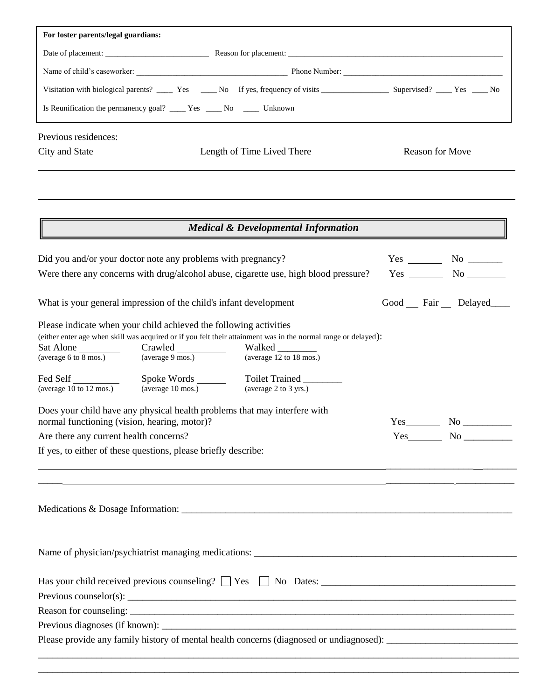| For foster parents/legal guardians:                                                                                                                                                                                                                                   |  |                             |  |  |  |  |
|-----------------------------------------------------------------------------------------------------------------------------------------------------------------------------------------------------------------------------------------------------------------------|--|-----------------------------|--|--|--|--|
|                                                                                                                                                                                                                                                                       |  |                             |  |  |  |  |
|                                                                                                                                                                                                                                                                       |  |                             |  |  |  |  |
| Visitation with biological parents? _______ Yes ______ No If yes, frequency of visits _______________________ Supervised? _____ Yes _____ No                                                                                                                          |  |                             |  |  |  |  |
| Is Reunification the permanency goal? ______ Yes ______ No ______ Unknown                                                                                                                                                                                             |  |                             |  |  |  |  |
| Previous residences:                                                                                                                                                                                                                                                  |  |                             |  |  |  |  |
| Length of Time Lived There<br>City and State                                                                                                                                                                                                                          |  | Reason for Move             |  |  |  |  |
|                                                                                                                                                                                                                                                                       |  |                             |  |  |  |  |
| <b>Medical &amp; Developmental Information</b>                                                                                                                                                                                                                        |  |                             |  |  |  |  |
| Did you and/or your doctor note any problems with pregnancy?                                                                                                                                                                                                          |  | $Yes$ No $\_\_\_\_\_\$      |  |  |  |  |
| Were there any concerns with drug/alcohol abuse, cigarette use, high blood pressure?                                                                                                                                                                                  |  | Yes No                      |  |  |  |  |
| What is your general impression of the child's infant development                                                                                                                                                                                                     |  | Good __ Fair __ Delayed____ |  |  |  |  |
| Please indicate when your child achieved the following activities<br>(either enter age when skill was acquired or if you felt their attainment was in the normal range or delayed):<br>Walked<br>(average 6 to 8 mos.)<br>(average 9 mos.)<br>(average 12 to 18 mos.) |  |                             |  |  |  |  |
| Fed Self<br>Toilet Trained _______<br>(average 10 mos.)<br>(average 2 to 3 yrs.)<br>(average 10 to 12 mos.)                                                                                                                                                           |  |                             |  |  |  |  |
| Does your child have any physical health problems that may interfere with<br>normal functioning (vision, hearing, motor)?                                                                                                                                             |  |                             |  |  |  |  |
| Are there any current health concerns?                                                                                                                                                                                                                                |  |                             |  |  |  |  |
| If yes, to either of these questions, please briefly describe:                                                                                                                                                                                                        |  |                             |  |  |  |  |
| <u> 1989 - Jan Samuel Barbara, margaret a shekara 1980 - 1981 - 1982 - 1983 - 1984 - 1986 - 1987 - 1988 - 1988 -</u><br><u>. A shekara ta 1999 na matsayin sa sanadka sa sanadka sa sanadka sa sanadka sa sanadka sa sanadka sa sanadka s</u>                         |  |                             |  |  |  |  |
| Medications & Dosage Information:                                                                                                                                                                                                                                     |  |                             |  |  |  |  |
|                                                                                                                                                                                                                                                                       |  |                             |  |  |  |  |
|                                                                                                                                                                                                                                                                       |  |                             |  |  |  |  |
|                                                                                                                                                                                                                                                                       |  |                             |  |  |  |  |
|                                                                                                                                                                                                                                                                       |  |                             |  |  |  |  |
| Please provide any family history of mental health concerns (diagnosed or undiagnosed): ______________________                                                                                                                                                        |  |                             |  |  |  |  |

\_\_\_\_\_\_\_\_\_\_\_\_\_\_\_\_\_\_\_\_\_\_\_\_\_\_\_\_\_\_\_\_\_\_\_\_\_\_\_\_\_\_\_\_\_\_\_\_\_\_\_\_\_\_\_\_\_\_\_\_\_\_\_\_\_\_\_\_\_\_\_\_\_\_\_\_\_\_\_\_\_\_\_\_\_\_\_\_\_\_\_\_\_\_\_\_\_\_\_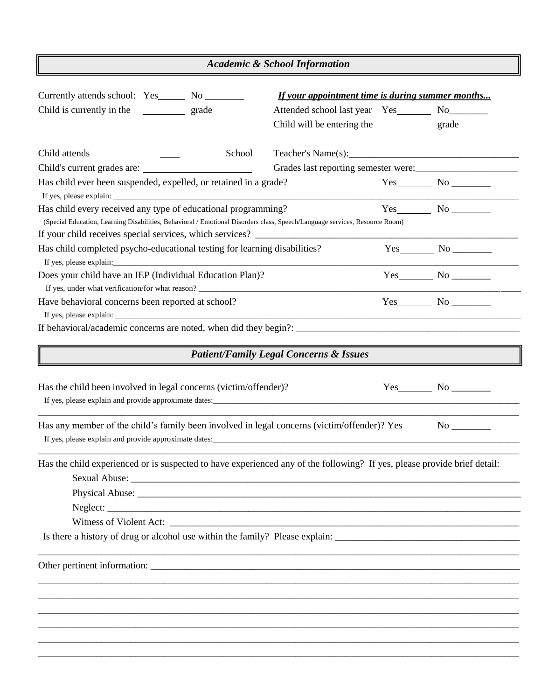| <b>Academic &amp; School Information</b>                                                                                                                                                                                                                                         |                                                                                                                                           |  |                                       |  |
|----------------------------------------------------------------------------------------------------------------------------------------------------------------------------------------------------------------------------------------------------------------------------------|-------------------------------------------------------------------------------------------------------------------------------------------|--|---------------------------------------|--|
| Currently attends school: Yes_______ No _________<br>Child is currently in the<br>grade                                                                                                                                                                                          | If your appointment time is during summer months<br>Attended school last year Yes_________ No________<br>Child will be entering the grade |  |                                       |  |
|                                                                                                                                                                                                                                                                                  | Teacher's Name(s):                                                                                                                        |  |                                       |  |
| Has child ever been suspended, expelled, or retained in a grade?                                                                                                                                                                                                                 | Grades last reporting semester were:                                                                                                      |  |                                       |  |
| Has child every received any type of educational programming?<br>(Special Education, Learning Disabilities, Behavioral / Emotional Disorders class, Speech/Language services, Resource Room)<br>If your child receives special services, which services? _______________________ |                                                                                                                                           |  |                                       |  |
| Has child completed psycho-educational testing for learning disabilities?                                                                                                                                                                                                        |                                                                                                                                           |  |                                       |  |
| Does your child have an IEP (Individual Education Plan)?<br>If yes, under what verification/for what reason? ________________________________                                                                                                                                    |                                                                                                                                           |  | $Yes$ No $\_\_\_\_\_\_\_\_\_\_\_\_\_$ |  |
| Have behavioral concerns been reported at school?                                                                                                                                                                                                                                |                                                                                                                                           |  | Yes No                                |  |
| If behavioral/academic concerns are noted, when did they begin?: ___________________________________                                                                                                                                                                             |                                                                                                                                           |  |                                       |  |
|                                                                                                                                                                                                                                                                                  | <b>Patient/Family Legal Concerns &amp; Issues</b>                                                                                         |  |                                       |  |
| Has the child been involved in legal concerns (victim/offender)?                                                                                                                                                                                                                 |                                                                                                                                           |  | $Yes \t No \t A$                      |  |
| Has any member of the child's family been involved in legal concerns (victim/offender)? Yes______No ______                                                                                                                                                                       |                                                                                                                                           |  |                                       |  |
| Has the child experienced or is suspected to have experienced any of the following? If yes, please provide brief detail:                                                                                                                                                         |                                                                                                                                           |  |                                       |  |
|                                                                                                                                                                                                                                                                                  |                                                                                                                                           |  |                                       |  |
|                                                                                                                                                                                                                                                                                  |                                                                                                                                           |  |                                       |  |
| Witness of Violent Act: Later and Active Contract and Active Contract and Active Contract and Active Contract and Active Contract and Active Contract and Active Contract and Active Contract and Active Contract and Active C                                                   |                                                                                                                                           |  |                                       |  |
|                                                                                                                                                                                                                                                                                  |                                                                                                                                           |  |                                       |  |
|                                                                                                                                                                                                                                                                                  |                                                                                                                                           |  |                                       |  |
|                                                                                                                                                                                                                                                                                  |                                                                                                                                           |  |                                       |  |
|                                                                                                                                                                                                                                                                                  |                                                                                                                                           |  |                                       |  |
|                                                                                                                                                                                                                                                                                  |                                                                                                                                           |  |                                       |  |
|                                                                                                                                                                                                                                                                                  |                                                                                                                                           |  |                                       |  |
|                                                                                                                                                                                                                                                                                  |                                                                                                                                           |  |                                       |  |